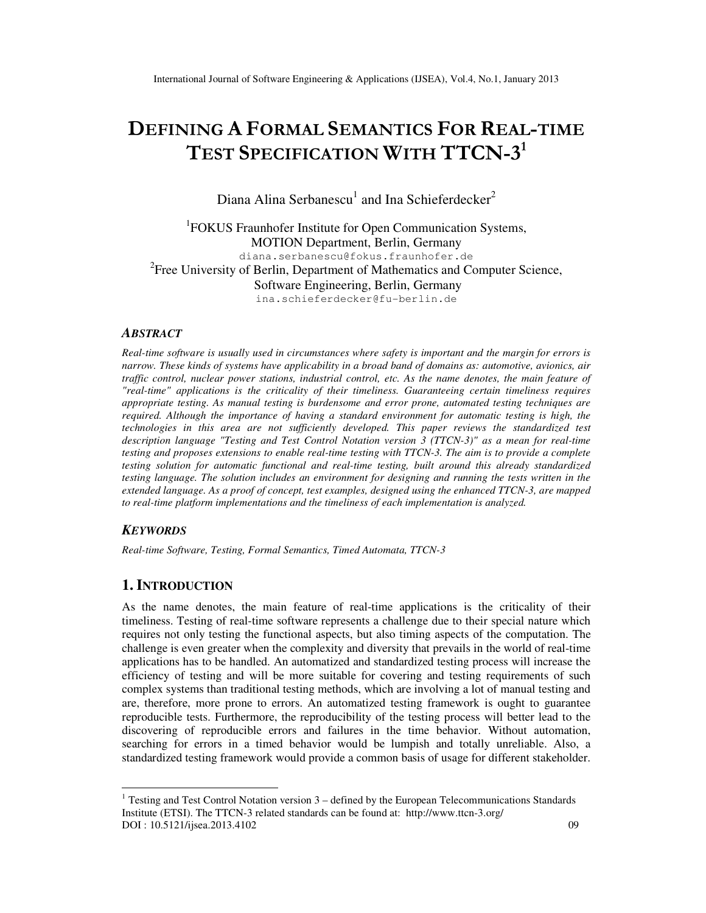# DEFINING A FORMAL SEMANTICS FOR REAL-TIME TEST SPECIFICATION WITH TTCN-3<sup>1</sup>

Diana Alina Serbanescu<sup>1</sup> and Ina Schieferdecker<sup>2</sup>

<sup>1</sup>FOKUS Fraunhofer Institute for Open Communication Systems, MOTION Department, Berlin, Germany diana.serbanescu@fokus.fraunhofer.de <sup>2</sup> Free University of Berlin, Department of Mathematics and Computer Science, Software Engineering, Berlin, Germany ina.schieferdecker@fu-berlin.de

## *ABSTRACT*

*Real-time software is usually used in circumstances where safety is important and the margin for errors is narrow. These kinds of systems have applicability in a broad band of domains as: automotive, avionics, air traffic control, nuclear power stations, industrial control, etc. As the name denotes, the main feature of "real-time" applications is the criticality of their timeliness. Guaranteeing certain timeliness requires appropriate testing. As manual testing is burdensome and error prone, automated testing techniques are required. Although the importance of having a standard environment for automatic testing is high, the technologies in this area are not sufficiently developed. This paper reviews the standardized test description language "Testing and Test Control Notation version 3 (TTCN-3)" as a mean for real-time testing and proposes extensions to enable real-time testing with TTCN-3. The aim is to provide a complete testing solution for automatic functional and real-time testing, built around this already standardized testing language. The solution includes an environment for designing and running the tests written in the extended language. As a proof of concept, test examples, designed using the enhanced TTCN-3, are mapped to real-time platform implementations and the timeliness of each implementation is analyzed.* 

## *KEYWORDS*

 $\ddot{\phantom{a}}$ 

*Real-time Software, Testing, Formal Semantics, Timed Automata, TTCN-3* 

# **1. INTRODUCTION**

As the name denotes, the main feature of real-time applications is the criticality of their timeliness. Testing of real-time software represents a challenge due to their special nature which requires not only testing the functional aspects, but also timing aspects of the computation. The challenge is even greater when the complexity and diversity that prevails in the world of real-time applications has to be handled. An automatized and standardized testing process will increase the efficiency of testing and will be more suitable for covering and testing requirements of such complex systems than traditional testing methods, which are involving a lot of manual testing and are, therefore, more prone to errors. An automatized testing framework is ought to guarantee reproducible tests. Furthermore, the reproducibility of the testing process will better lead to the discovering of reproducible errors and failures in the time behavior. Without automation, searching for errors in a timed behavior would be lumpish and totally unreliable. Also, a standardized testing framework would provide a common basis of usage for different stakeholder.

DOI : 10.5121/ijsea.2013.4102 09 <sup>1</sup> Testing and Test Control Notation version  $3$  – defined by the European Telecommunications Standards Institute (ETSI). The TTCN-3 related standards can be found at: http://www.ttcn-3.org/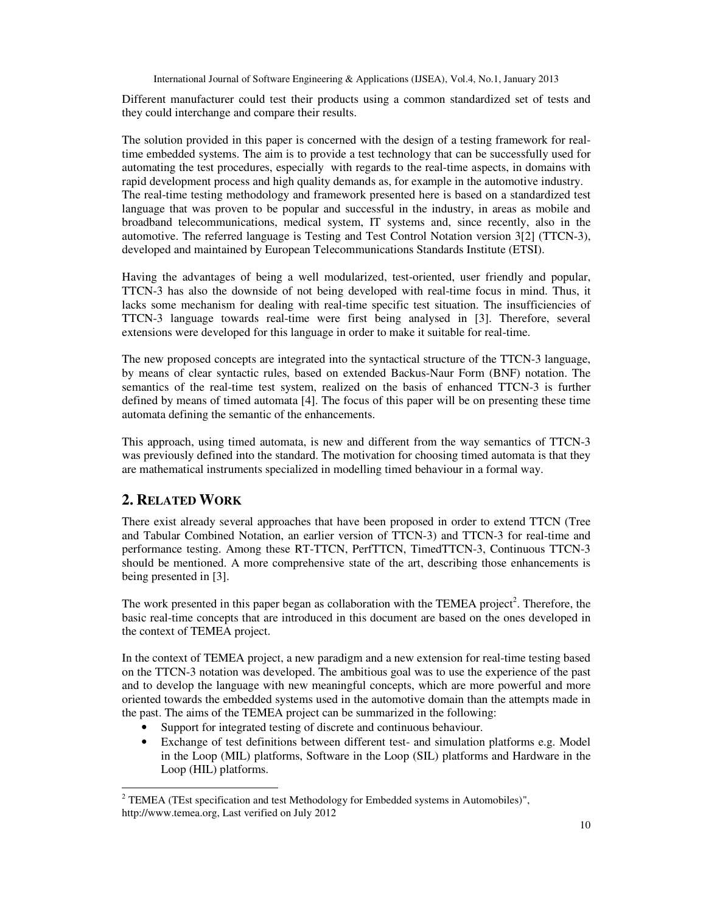Different manufacturer could test their products using a common standardized set of tests and they could interchange and compare their results.

The solution provided in this paper is concerned with the design of a testing framework for realtime embedded systems. The aim is to provide a test technology that can be successfully used for automating the test procedures, especially with regards to the real-time aspects, in domains with rapid development process and high quality demands as, for example in the automotive industry. The real-time testing methodology and framework presented here is based on a standardized test language that was proven to be popular and successful in the industry, in areas as mobile and broadband telecommunications, medical system, IT systems and, since recently, also in the automotive. The referred language is Testing and Test Control Notation version 3[2] (TTCN-3), developed and maintained by European Telecommunications Standards Institute (ETSI).

Having the advantages of being a well modularized, test-oriented, user friendly and popular, TTCN-3 has also the downside of not being developed with real-time focus in mind. Thus, it lacks some mechanism for dealing with real-time specific test situation. The insufficiencies of TTCN-3 language towards real-time were first being analysed in [3]. Therefore, several extensions were developed for this language in order to make it suitable for real-time.

The new proposed concepts are integrated into the syntactical structure of the TTCN-3 language, by means of clear syntactic rules, based on extended Backus-Naur Form (BNF) notation. The semantics of the real-time test system, realized on the basis of enhanced TTCN-3 is further defined by means of timed automata [4]. The focus of this paper will be on presenting these time automata defining the semantic of the enhancements.

This approach, using timed automata, is new and different from the way semantics of TTCN-3 was previously defined into the standard. The motivation for choosing timed automata is that they are mathematical instruments specialized in modelling timed behaviour in a formal way.

# **2. RELATED WORK**

 $\ddot{\phantom{a}}$ 

There exist already several approaches that have been proposed in order to extend TTCN (Tree and Tabular Combined Notation, an earlier version of TTCN-3) and TTCN-3 for real-time and performance testing. Among these RT-TTCN, PerfTTCN, TimedTTCN-3, Continuous TTCN-3 should be mentioned. A more comprehensive state of the art, describing those enhancements is being presented in [3].

The work presented in this paper began as collaboration with the TEMEA project<sup>2</sup>. Therefore, the basic real-time concepts that are introduced in this document are based on the ones developed in the context of TEMEA project.

In the context of TEMEA project, a new paradigm and a new extension for real-time testing based on the TTCN-3 notation was developed. The ambitious goal was to use the experience of the past and to develop the language with new meaningful concepts, which are more powerful and more oriented towards the embedded systems used in the automotive domain than the attempts made in the past. The aims of the TEMEA project can be summarized in the following:

- Support for integrated testing of discrete and continuous behaviour.
- Exchange of test definitions between different test- and simulation platforms e.g. Model in the Loop (MIL) platforms, Software in the Loop (SIL) platforms and Hardware in the Loop (HIL) platforms.

<sup>&</sup>lt;sup>2</sup> TEMEA (TEst specification and test Methodology for Embedded systems in Automobiles)", http://www.temea.org, Last verified on July 2012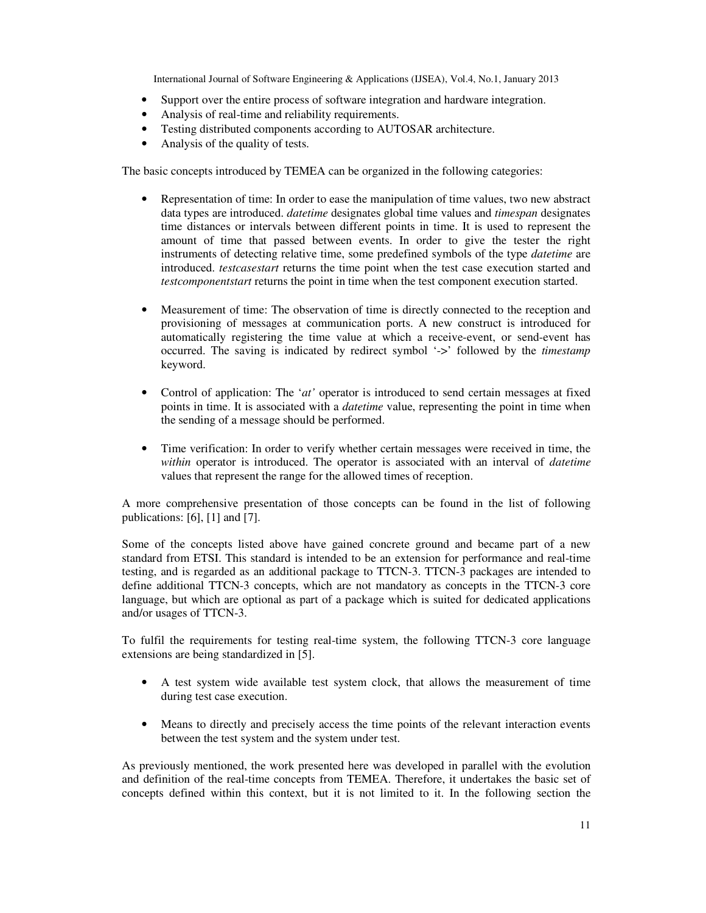- Support over the entire process of software integration and hardware integration.
- Analysis of real-time and reliability requirements.
- Testing distributed components according to AUTOSAR architecture.
- Analysis of the quality of tests.

The basic concepts introduced by TEMEA can be organized in the following categories:

- Representation of time: In order to ease the manipulation of time values, two new abstract data types are introduced. *datetime* designates global time values and *timespan* designates time distances or intervals between different points in time. It is used to represent the amount of time that passed between events. In order to give the tester the right instruments of detecting relative time, some predefined symbols of the type *datetime* are introduced. *testcasestart* returns the time point when the test case execution started and *testcomponentstart* returns the point in time when the test component execution started.
- Measurement of time: The observation of time is directly connected to the reception and provisioning of messages at communication ports. A new construct is introduced for automatically registering the time value at which a receive-event, or send-event has occurred. The saving is indicated by redirect symbol '->' followed by the *timestamp* keyword.
- Control of application: The '*at'* operator is introduced to send certain messages at fixed points in time. It is associated with a *datetime* value, representing the point in time when the sending of a message should be performed.
- Time verification: In order to verify whether certain messages were received in time, the *within* operator is introduced. The operator is associated with an interval of *datetime* values that represent the range for the allowed times of reception.

A more comprehensive presentation of those concepts can be found in the list of following publications: [6], [1] and [7].

Some of the concepts listed above have gained concrete ground and became part of a new standard from ETSI. This standard is intended to be an extension for performance and real-time testing, and is regarded as an additional package to TTCN-3. TTCN-3 packages are intended to define additional TTCN-3 concepts, which are not mandatory as concepts in the TTCN-3 core language, but which are optional as part of a package which is suited for dedicated applications and/or usages of TTCN-3.

To fulfil the requirements for testing real-time system, the following TTCN-3 core language extensions are being standardized in [5].

- A test system wide available test system clock, that allows the measurement of time during test case execution.
- Means to directly and precisely access the time points of the relevant interaction events between the test system and the system under test.

As previously mentioned, the work presented here was developed in parallel with the evolution and definition of the real-time concepts from TEMEA. Therefore, it undertakes the basic set of concepts defined within this context, but it is not limited to it. In the following section the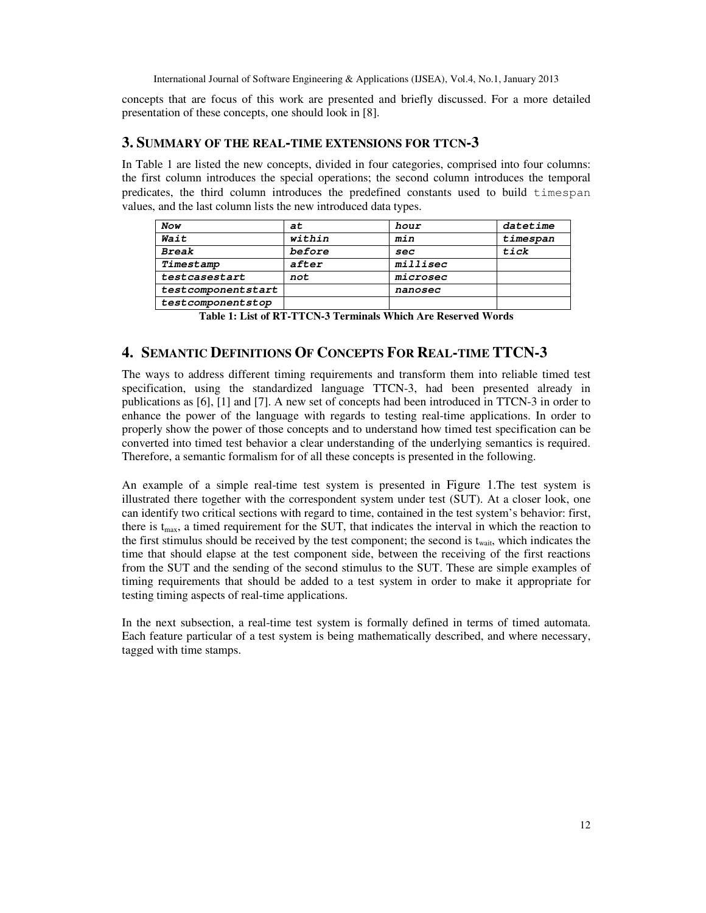concepts that are focus of this work are presented and briefly discussed. For a more detailed presentation of these concepts, one should look in [8].

# **3. SUMMARY OF THE REAL-TIME EXTENSIONS FOR TTCN-3**

In Table 1 are listed the new concepts, divided in four categories, comprised into four columns: the first column introduces the special operations; the second column introduces the temporal predicates, the third column introduces the predefined constants used to build timespan values, and the last column lists the new introduced data types.

| Now                | at     | hour     | datetime |
|--------------------|--------|----------|----------|
| Wait               | within | min      | timespan |
| <b>Break</b>       | before | sec      | tick     |
| Timestamp          | after  | millisec |          |
| testcasestart      | not    | microsec |          |
| testcomponentstart |        | nanosec  |          |
| testcomponentstop  |        |          |          |

**Table 1: List of RT-TTCN-3 Terminals Which Are Reserved Words**

# **4. SEMANTIC DEFINITIONS OF CONCEPTS FOR REAL-TIME TTCN-3**

The ways to address different timing requirements and transform them into reliable timed test specification, using the standardized language TTCN-3, had been presented already in publications as [6], [1] and [7]. A new set of concepts had been introduced in TTCN-3 in order to enhance the power of the language with regards to testing real-time applications. In order to properly show the power of those concepts and to understand how timed test specification can be converted into timed test behavior a clear understanding of the underlying semantics is required. Therefore, a semantic formalism for of all these concepts is presented in the following.

An example of a simple real-time test system is presented in Figure 1.The test system is illustrated there together with the correspondent system under test (SUT). At a closer look, one can identify two critical sections with regard to time, contained in the test system's behavior: first, there is  $t_{max}$ , a timed requirement for the SUT, that indicates the interval in which the reaction to the first stimulus should be received by the test component; the second is  $t_{wait}$ , which indicates the time that should elapse at the test component side, between the receiving of the first reactions from the SUT and the sending of the second stimulus to the SUT. These are simple examples of timing requirements that should be added to a test system in order to make it appropriate for testing timing aspects of real-time applications.

In the next subsection, a real-time test system is formally defined in terms of timed automata. Each feature particular of a test system is being mathematically described, and where necessary, tagged with time stamps.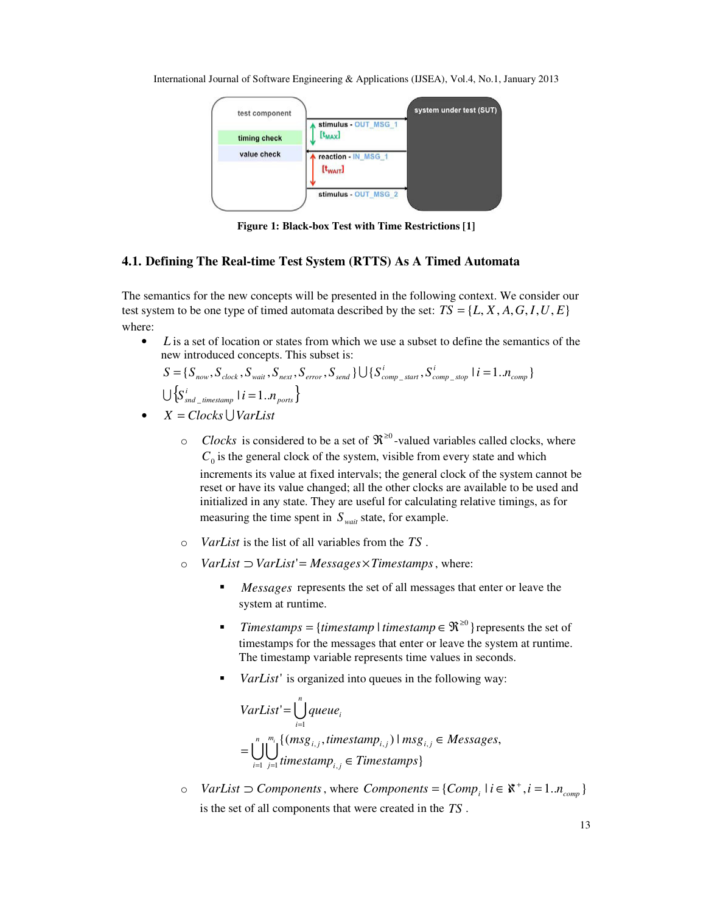

**Figure 1: Black-box Test with Time Restrictions [1]**

## **4.1. Defining The Real-time Test System (RTTS) As A Timed Automata**

The semantics for the new concepts will be presented in the following context. We consider our test system to be one type of timed automata described by the set:  $TS = \{L, X, A, G, I, U, E\}$ where:

L is a set of location or states from which we use a subset to define the semantics of the new introduced concepts. This subset is:

$$
S = \{S_{now}, S_{clock}, S_{wait}, S_{next}, S_{error}, S_{send}\} \cup \{S_{comp\_star}^i, S_{comp\_stop} \mid i = 1..n_{comp}\}
$$
  

$$
\cup \{S_{snd\_timestamp}^i \mid i = 1..n_{ports}\}
$$

- $X = Clocks \cup VarList$ 
	- $\circ$  *Clocks* is considered to be a set of  $\mathbb{R}^{\geq 0}$ -valued variables called clocks, where  $C_0$  is the general clock of the system, visible from every state and which increments its value at fixed intervals; the general clock of the system cannot be reset or have its value changed; all the other clocks are available to be used and initialized in any state. They are useful for calculating relative timings, as for measuring the time spent in  $S_{wait}$  state, for example.
	- o *VarList* is the list of all variables from the *TS* .
	- o *VarList* ⊃ *VarList*'= *Messages*×*Timestamps*, where:
		- *Messages* represents the set of all messages that enter or leave the system at runtime.
		- *Timestamps* = {*timestamp l timestamp*  $\in \mathbb{R}^{\geq 0}$ } represents the set of timestamps for the messages that enter or leave the system at runtime. The timestamp variable represents time values in seconds.
		- *VarList'* is organized into queues in the following way:

$$
VarList' = \bigcup_{i=1}^{n} queue_i
$$
  
= 
$$
\bigcup_{i=1}^{n} \bigcup_{j=1}^{m_i} \{ (msg_{i,j}, timestamp_{i,j}) \mid msg_{i,j} \in Messages, \}
$$

*o VarList* ⊃ *Components*, where *Components* = { $Comp_i \mid i \in \mathbb{X}^+, i = 1..n_{comp}$ } is the set of all components that were created in the *TS* .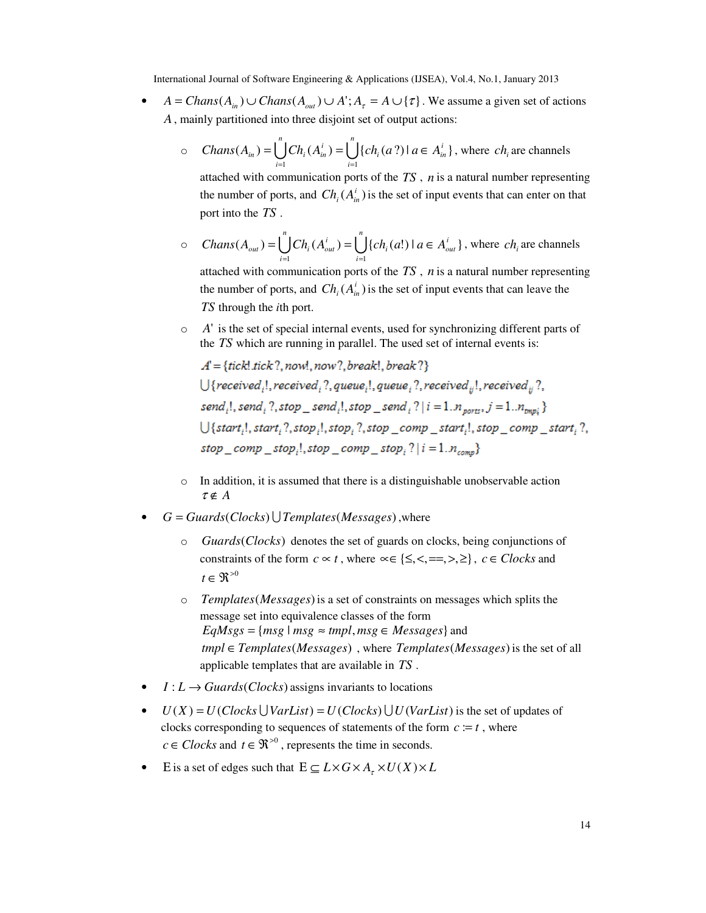- $A = Chans(A_{in}) \cup Chans(A_{out}) \cup A$ ;  $A_{\tau} = A \cup {\tau}$ . We assume a given set of actions *A*, mainly partitioned into three disjoint set of output actions:
	- $\circ$   $Chans(A_{in}) = \bigcup^{n} Ch_i(A_{in}^i) = \bigcup^{n}$ *i*  $a_i(a?)$   $a \in A_{in}^i$ *n i*  ${\rm Chans}(A_{in}) = \bigcup {\rm Ch}_i(A_{in}^i) = \bigcup {\rm ch}_i(a?) \mid a \in A$  $i=1$  $(A_{in}) = \left[ \int Ch_i(A_{in}^{\dagger}) = \left[ \int \{ch_i(a?) \mid a \in A_{in}^{\dagger} \} \right] \right]$  $=\bigcup_{i=1}^{n}Ch_i(A_{in}^i)=\bigcup_{i=1}\{ch_i(a?)\,|\,a\in A_{in}^i\}$ , where  $ch_i$  are channels

attached with communication ports of the *TS* , *n* is a natural number representing the number of ports, and  $Ch_i(A^i_m)$  is the set of input events that can enter on that port into the *TS* .

 $\circ$   $Chans(A_{out}) = \bigcup^{n} Ch_i(A_{out}^i) = \bigcup^{n}$ *i*  $a_i(a!)$   $a \in A_{out}^i$ *n i*  $\mathcal{L}$ *Chans*  $(A_{out}) = \bigcup \mathcal{C}h_i(A_{out}^i) = \bigcup \{ch_i(a!) \mid a \in A_i\}$  $i=1$  $(A_{out}) = \bigcup Ch_i(A_{out}^t) = \bigcup \{ ch_i(a!) \mid a \in A_{out}^t \}$  $=\bigcup_{i=1}Ch_i(A_{out}^i)=\bigcup_{i=1}\{ch_i(a!) \mid a \in A_{out}^i\}$ , where  $ch_i$  are channels attached with communication ports of the *TS* , *n* is a natural number representing the number of ports, and  $Ch_i(A_{in}^i)$  is the set of input events that can leave the

*TS* through the *i*th port.

o *A*' is the set of special internal events, used for synchronizing different parts of the *TS* which are running in parallel. The used set of internal events is:

 $A' = \{tick, tick?, now, now?, break!, break?\}$  $\bigcup \{ received_i!, received_i?, queue_i!, queue_i?, receive_{ii}!, received_{ii},?$ send<sub>i</sub>!, send<sub>i</sub>?, stop\_send<sub>i</sub>!, stop\_send<sub>i</sub>?| $i = 1..n_{\text{ports}}$ .  $j = 1..n_{\text{bnd}}$ }  $\bigcup \{start, l, start, ?, stop, l, stop, ?, stop, comp, start, l, stop, comp, start, ?,$ stop\_comp\_stop<sub>i</sub>!.stop\_comp\_stop<sub>i</sub>?| $i = 1.n_{comp}$ }

- o In addition, it is assumed that there is a distinguishable unobservable action  $\tau \notin A$
- *G* = *Guards*(*Clocks*) U*Templates*(*Messages*),where
	- o *Guards*(*Clocks*) denotes the set of guards on clocks, being conjunctions of constraints of the form  $c \propto t$ , where  $\propto \{ \leq, \leq, ==, >, \geq \}$ ,  $c \in \mathbb{C}$ locks and  $t \in \mathfrak{R}^{>0}$
	- o *Templates*(*Messages*)is a set of constraints on messages which splits the message set into equivalence classes of the form  $EqMsgs = \{msg \mid msg \approx tmpl, msg \in Messages\}$  and *tmpl* ∈*Templates*(*Messages*) , where *Templates*(*Messages*)is the set of all applicable templates that are available in *TS* .
- $I: L \rightarrow$  *Guards*(*Clocks*) assigns invariants to locations
- $U(X) = U(Clocks \cup VarList) = U(Clocks \cup U(VarList)$  is the set of updates of clocks corresponding to sequences of statements of the form  $c := t$ , where  $c \in \text{Clocks}$  and  $t \in \mathfrak{R}^{>0}$ , represents the time in seconds.
- E is a set of edges such that  $E \subseteq L \times G \times A$ <sub>τ</sub>  $\times U(X) \times L$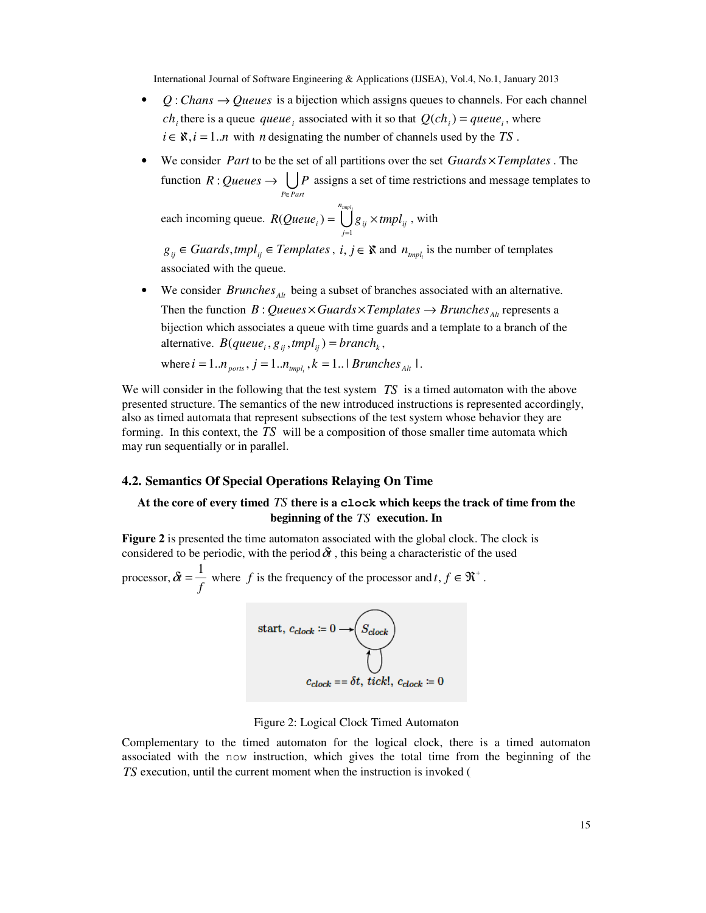- $Q: Chans \rightarrow Queues$  is a bijection which assigns queues to channels. For each channel *ch*<sub>i</sub> there is a queue *queue* associated with it so that  $Q(ch_i) = queue_i$ , where  $i \in \mathbb{X}, i = 1..n$  with *n* designating the number of channels used by the *TS*.
- We consider *Part* to be the set of all partitions over the set *Guards* ×*Templates* . The function  $R:Queues \to \bigcup_{P \in Part} I$  $R:Queues \rightarrow \Box P$ ∈ : Queues  $\rightarrow$   $\langle$   $|P \rangle$  assigns a set of time restrictions and message templates to

each incoming queue.  $R(Queue_i) = \bigcup^{n_{imp|i}}$ *j*  $R(Queue_i) = \bigcup g_{ij} \times tmpl_{ij}$ 1  $(Queue<sub>i</sub>)$ =  $= \int g_{ii} \times t m p l_{ii}$ , with

*g*<sub>*ij*</sub> ∈ *Guards*, *tmpl*<sub>*ij*</sub> ∈ *Templates*, *i*, *j* ∈  $\&$  and  $n_{\text{tmpl_i}}$  is the number of templates associated with the queue.

• We consider *Brunches*<sub>*Alt*</sub> being a subset of branches associated with an alternative. Then the function *B* : *Queues*  $\times$  *Guards*  $\times$  *Templates*  $\rightarrow$  *Brunches*<sub>*Alt*</sub> represents a bijection which associates a queue with time guards and a template to a branch of the alternative.  $B(queue_i, g_{ii}, tmpl_{ii}) = branch_k$ ,

where 
$$
i = 1..n_{\text{ports}}
$$
,  $j = 1..n_{\text{tmpl}_i}$ ,  $k = 1..1$  *Brunches<sub>Alt</sub>* 1.

We will consider in the following that the test system *TS* is a timed automaton with the above presented structure. The semantics of the new introduced instructions is represented accordingly, also as timed automata that represent subsections of the test system whose behavior they are forming. In this context, the *TS* will be a composition of those smaller time automata which may run sequentially or in parallel.

#### **4.2. Semantics Of Special Operations Relaying On Time**

# **At the core of every timed** *TS* **there is a clock which keeps the track of time from the beginning of the** *TS* **execution. In**

**Figure 2** is presented the time automaton associated with the global clock. The clock is considered to be periodic, with the period  $\delta t$ , this being a characteristic of the used

processor,  $\delta t = \frac{1}{f}$  $\delta t = \frac{1}{t^2}$  where *f* is the frequency of the processor and *t*,  $f \in \mathbb{R}^+$ .

start, 
$$
c_{clock} := 0 \longrightarrow \odot
$$
  
\n
$$
\bigcup_{Cclock} = 5t, tick!, c_{clock} := 0
$$

Figure 2: Logical Clock Timed Automaton

Complementary to the timed automaton for the logical clock, there is a timed automaton associated with the now instruction, which gives the total time from the beginning of the *TS* execution, until the current moment when the instruction is invoked (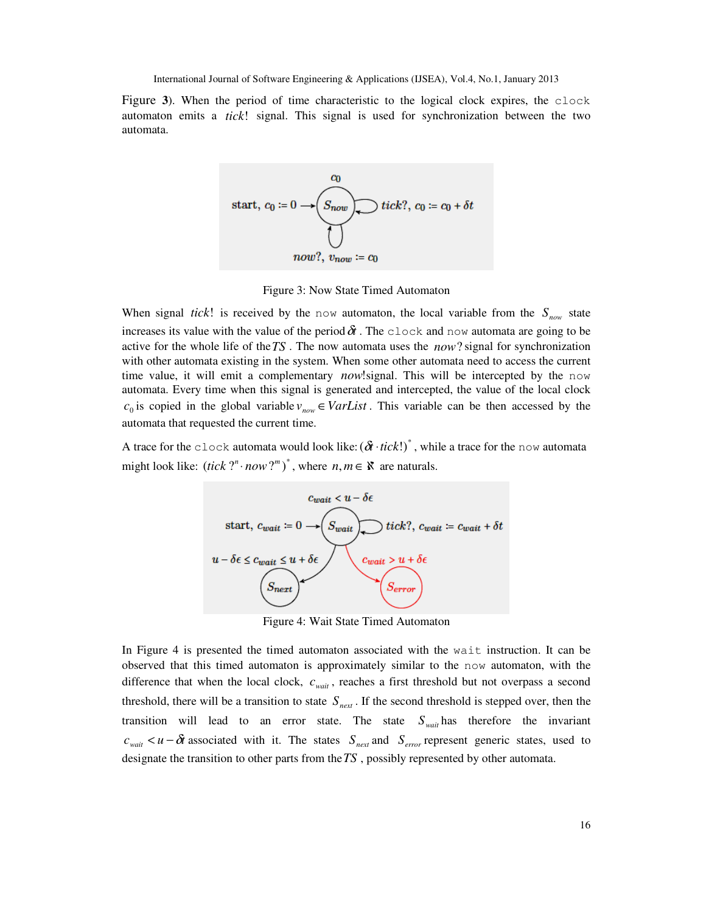Figure **3**). When the period of time characteristic to the logical clock expires, the clock automaton emits a *tick*! signal. This signal is used for synchronization between the two automata.



Figure 3: Now State Timed Automaton

When signal *tick*! is received by the now automaton, the local variable from the  $S_{now}$  state increases its value with the value of the period  $\delta t$ . The clock and now automata are going to be active for the whole life of the*TS* . The now automata uses the *now*? signal for synchronization with other automata existing in the system. When some other automata need to access the current time value, it will emit a complementary *now*!signal. This will be intercepted by the now automata. Every time when this signal is generated and intercepted, the value of the local clock  $c_0$  is copied in the global variable  $v_{now} \in VarList$ . This variable can be then accessed by the automata that requested the current time.

A trace for the clock automata would look like:  $(\delta t \cdot tick!)^*$ , while a trace for the now automata might look like:  $(tick ?<sup>n</sup> · now ?<sup>m</sup>)<sup>*</sup>$ , where  $n, m \in \mathbb{X}$  are naturals.



Figure 4: Wait State Timed Automaton

In Figure 4 is presented the timed automaton associated with the wait instruction. It can be observed that this timed automaton is approximately similar to the now automaton, with the difference that when the local clock,  $c_{wait}$ , reaches a first threshold but not overpass a second threshold, there will be a transition to state  $S_{\text{next}}$ . If the second threshold is stepped over, then the transition will lead to an error state. The state  $S_{wait}$  has therefore the invariant  $c_{wait} < u - \delta t$  associated with it. The states  $S_{next}$  and  $S_{error}$  represent generic states, used to designate the transition to other parts from the*TS* , possibly represented by other automata.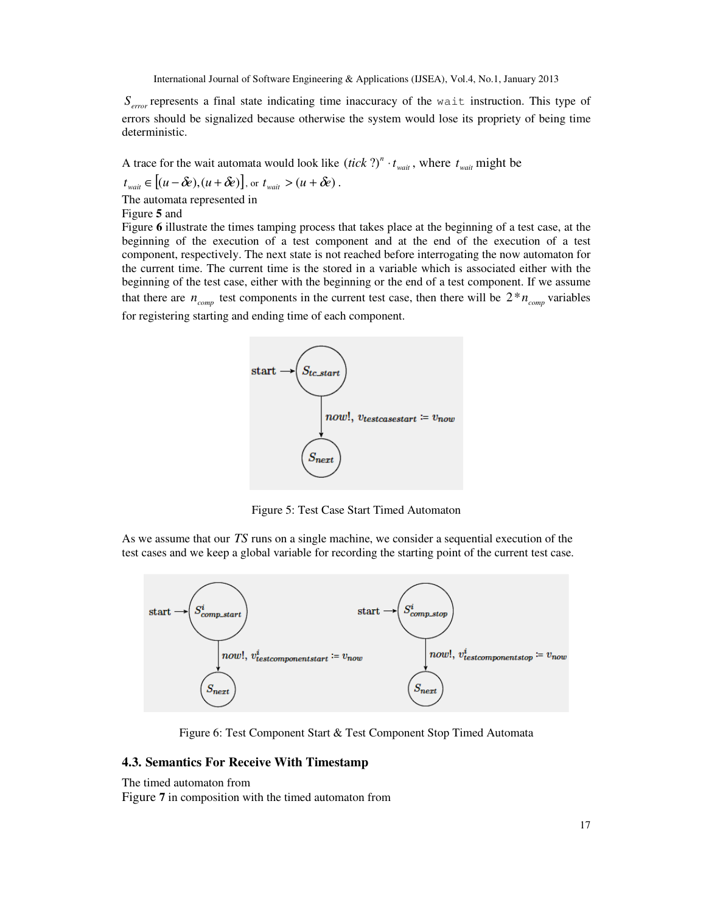$S_{error}$  represents a final state indicating time inaccuracy of the wait instruction. This type of errors should be signalized because otherwise the system would lose its propriety of being time deterministic.

A trace for the wait automata would look like  $(ick$  ?)<sup>*n*</sup>  $\cdot t_{wait}$ , where  $t_{wait}$  might be

$$
t_{wait} \in [(u - \delta e), (u + \delta e)],
$$
 or  $t_{wait} > (u + \delta e)$ .

The automata represented in

Figure **5** and

Figure **6** illustrate the times tamping process that takes place at the beginning of a test case, at the beginning of the execution of a test component and at the end of the execution of a test component, respectively. The next state is not reached before interrogating the now automaton for the current time. The current time is the stored in a variable which is associated either with the beginning of the test case, either with the beginning or the end of a test component. If we assume that there are  $n_{comm}$  test components in the current test case, then there will be  $2 * n_{comm}$  variables for registering starting and ending time of each component.



Figure 5: Test Case Start Timed Automaton

As we assume that our *TS* runs on a single machine, we consider a sequential execution of the test cases and we keep a global variable for recording the starting point of the current test case.



Figure 6: Test Component Start & Test Component Stop Timed Automata

# **4.3. Semantics For Receive With Timestamp**

The timed automaton from

Figure **7** in composition with the timed automaton from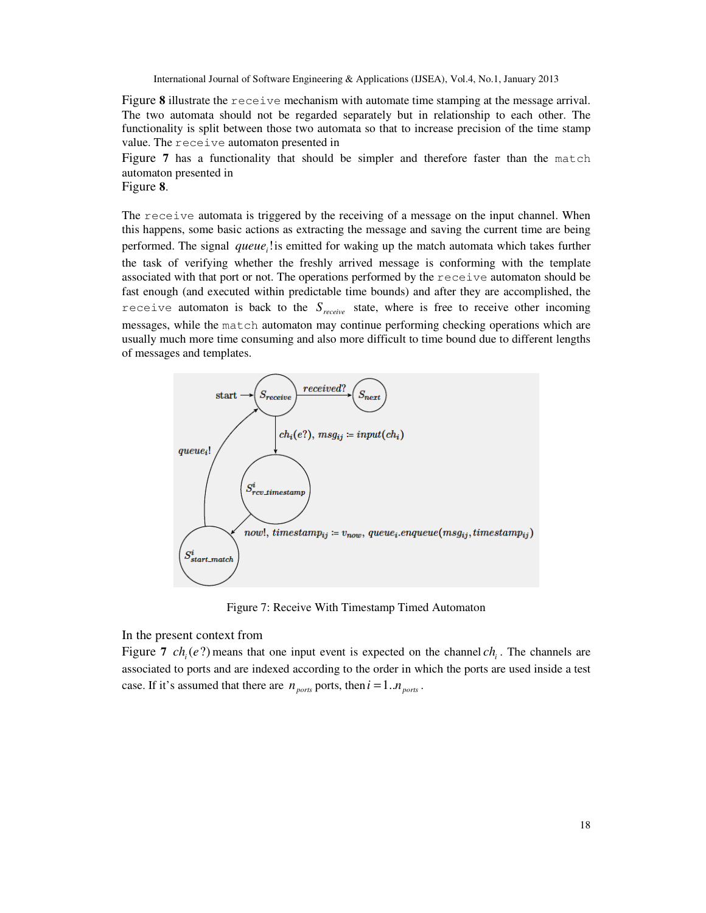Figure **8** illustrate the receive mechanism with automate time stamping at the message arrival. The two automata should not be regarded separately but in relationship to each other. The functionality is split between those two automata so that to increase precision of the time stamp value. The receive automaton presented in

Figure **7** has a functionality that should be simpler and therefore faster than the match automaton presented in

Figure **8**.

The receive automata is triggered by the receiving of a message on the input channel. When this happens, some basic actions as extracting the message and saving the current time are being performed. The signal *queue*<sup>1</sup> is emitted for waking up the match automata which takes further the task of verifying whether the freshly arrived message is conforming with the template associated with that port or not. The operations performed by the receive automaton should be fast enough (and executed within predictable time bounds) and after they are accomplished, the receive automaton is back to the  $S_{receive}$  state, where is free to receive other incoming messages, while the match automaton may continue performing checking operations which are usually much more time consuming and also more difficult to time bound due to different lengths of messages and templates.



Figure 7: Receive With Timestamp Timed Automaton

In the present context from

Figure 7  $ch_i(e?)$  means that one input event is expected on the channel  $ch_i$ . The channels are associated to ports and are indexed according to the order in which the ports are used inside a test case. If it's assumed that there are  $n_{\text{ports}}$  ports, then  $i = 1..n_{\text{ports}}$ .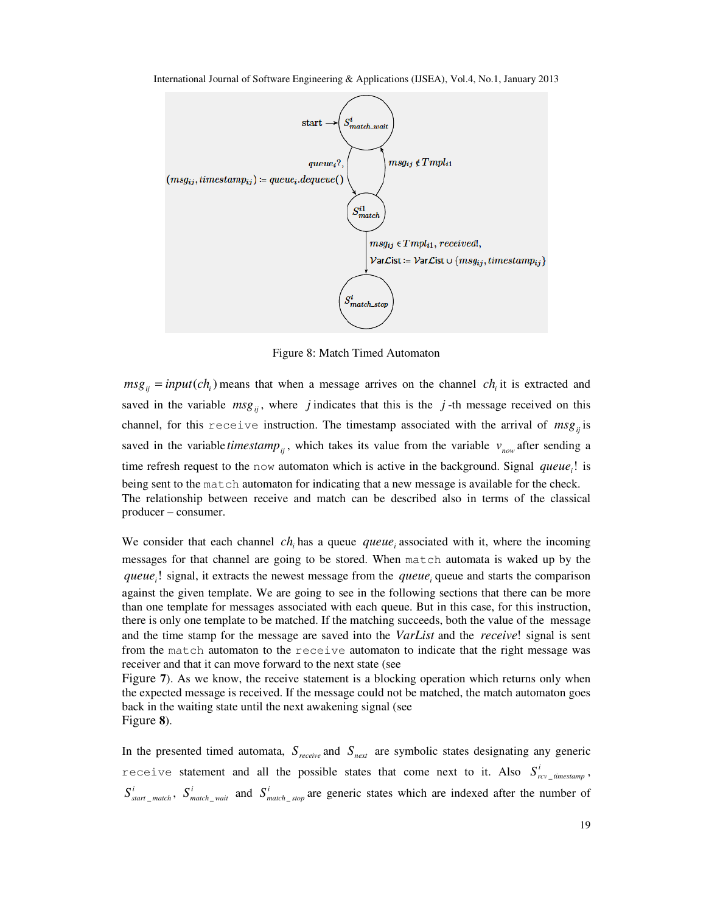

International Journal of Software Engineering & Applications (IJSEA), Vol.4, No.1, January 2013

Figure 8: Match Timed Automaton

 $msg_{ij} = input(ch_i)$  means that when a message arrives on the channel *ch<sub>i</sub>* it is extracted and saved in the variable  $msg_{ij}$ , where *j* indicates that this is the *j*-th message received on this channel, for this receive instruction. The timestamp associated with the arrival of  $msg_i$  is saved in the variable *timestamp*<sub>ii</sub>, which takes its value from the variable  $v_{now}$  after sending a time refresh request to the now automaton which is active in the background. Signal  $queue_i!$  is being sent to the match automaton for indicating that a new message is available for the check. The relationship between receive and match can be described also in terms of the classical producer – consumer.

We consider that each channel  $ch_i$  has a queue *queue*<sub>*i*</sub> associated with it, where the incoming messages for that channel are going to be stored. When match automata is waked up by the queue<sub>i</sub>! signal, it extracts the newest message from the queue<sub>i</sub> queue and starts the comparison against the given template. We are going to see in the following sections that there can be more than one template for messages associated with each queue. But in this case, for this instruction, there is only one template to be matched. If the matching succeeds, both the value of the message and the time stamp for the message are saved into the *VarList* and the *receive*! signal is sent from the match automaton to the receive automaton to indicate that the right message was receiver and that it can move forward to the next state (see

Figure **7**). As we know, the receive statement is a blocking operation which returns only when the expected message is received. If the message could not be matched, the match automaton goes back in the waiting state until the next awakening signal (see Figure **8**).

In the presented timed automata,  $S_{receive}$  and  $S_{next}$  are symbolic states designating any generic receive statement and all the possible states that come next to it. Also  $S_{rcv\_timesamp}^i$ ,  $S_{\text{start\_match}}^i$ ,  $S_{\text{match\_wait}}^i$  and  $S_{\text{match\_stop}}^i$  are generic states which are indexed after the number of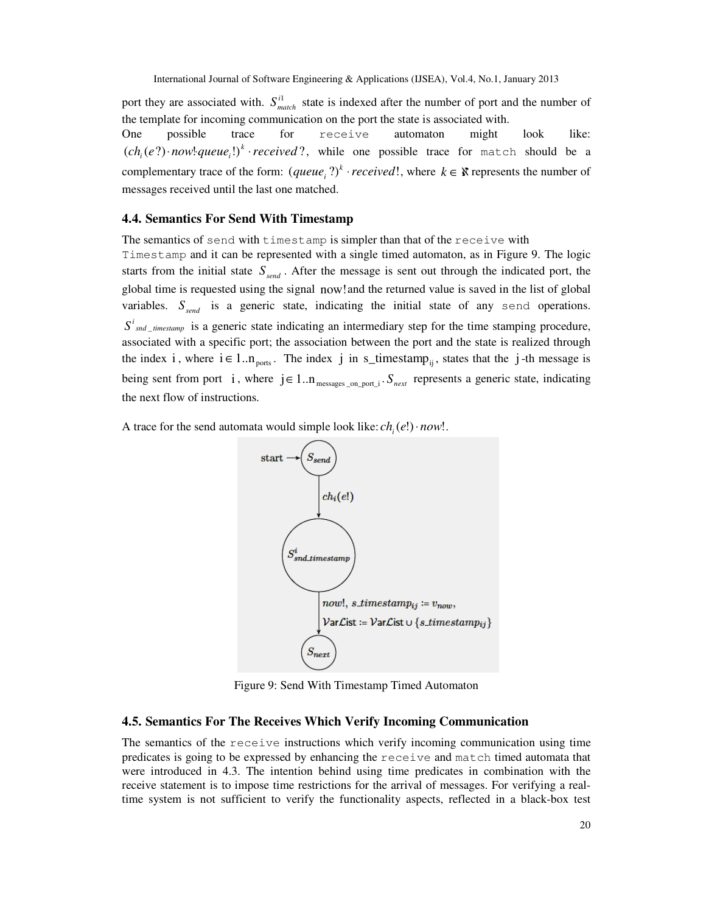port they are associated with.  $S_{match}^{i1}$  state is indexed after the number of port and the number of the template for incoming communication on the port the state is associated with.

One possible trace for receive automaton might look like:  $(ch<sub>i</sub>(e?) \cdot now! queue<sub>i</sub>!)<sup>k</sup> \cdot received?$ , while one possible trace for match should be a complementary trace of the form:  $(\text{queue}_i ?)^k \cdot \text{received}!$ , where  $k \in \mathbb{X}$  represents the number of messages received until the last one matched.

#### **4.4. Semantics For Send With Timestamp**

The semantics of send with timestamp is simpler than that of the receive with Timestamp and it can be represented with a single timed automaton, as in Figure 9. The logic starts from the initial state  $S_{\text{send}}$ . After the message is sent out through the indicated port, the global time is requested using the signal now!and the returned value is saved in the list of global variables.  $S_{\text{send}}$  is a generic state, indicating the initial state of any send operations.  $S<sup>i</sup>$ <sub>snd</sub>  $_{\_}$  *timestamp* is a generic state indicating an intermediary step for the time stamping procedure, associated with a specific port; the association between the port and the state is realized through the index i, where  $i \in 1..n_{\text{ports}}$ . The index j in s\_timestamp<sub>ii</sub>, states that the j-th message is being sent from port i, where  $j \in 1..n_{\text{messages\_on\_port\_i}}$ .  $S_{\text{next}}$  represents a generic state, indicating the next flow of instructions.

A trace for the send automata would simple look like:  $ch_i(e!) \cdot now!$ .



Figure 9: Send With Timestamp Timed Automaton

#### **4.5. Semantics For The Receives Which Verify Incoming Communication**

The semantics of the receive instructions which verify incoming communication using time predicates is going to be expressed by enhancing the receive and match timed automata that were introduced in 4.3. The intention behind using time predicates in combination with the receive statement is to impose time restrictions for the arrival of messages. For verifying a realtime system is not sufficient to verify the functionality aspects, reflected in a black-box test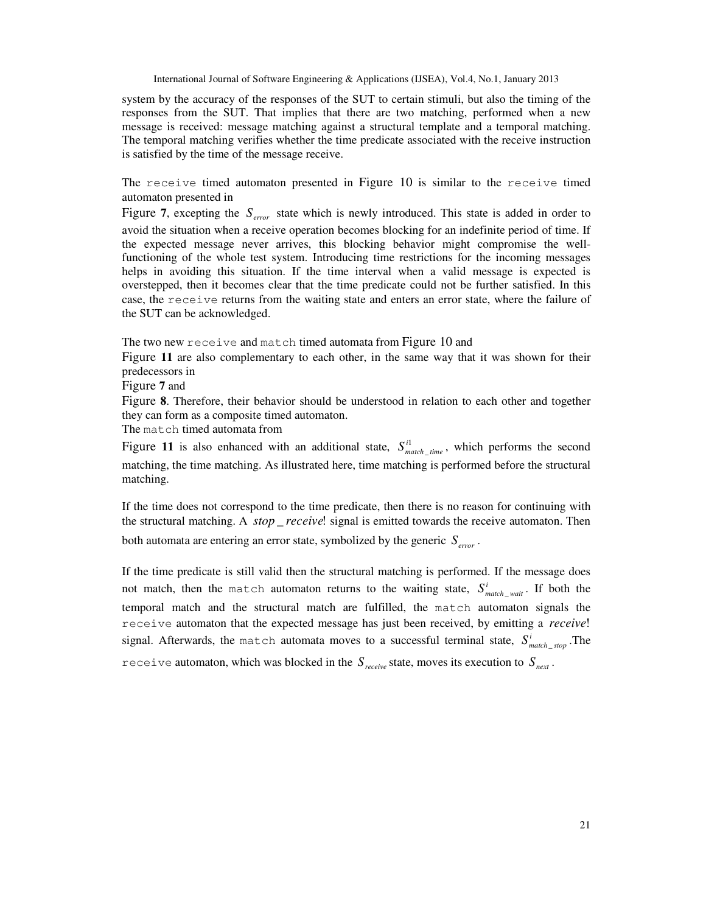system by the accuracy of the responses of the SUT to certain stimuli, but also the timing of the responses from the SUT. That implies that there are two matching, performed when a new message is received: message matching against a structural template and a temporal matching. The temporal matching verifies whether the time predicate associated with the receive instruction is satisfied by the time of the message receive.

The receive timed automaton presented in Figure 10 is similar to the receive timed automaton presented in

Figure 7, excepting the  $S_{error}$  state which is newly introduced. This state is added in order to avoid the situation when a receive operation becomes blocking for an indefinite period of time. If the expected message never arrives, this blocking behavior might compromise the wellfunctioning of the whole test system. Introducing time restrictions for the incoming messages helps in avoiding this situation. If the time interval when a valid message is expected is overstepped, then it becomes clear that the time predicate could not be further satisfied. In this case, the receive returns from the waiting state and enters an error state, where the failure of the SUT can be acknowledged.

The two new receive and match timed automata from Figure 10 and

Figure **11** are also complementary to each other, in the same way that it was shown for their predecessors in

Figure **7** and

Figure **8**. Therefore, their behavior should be understood in relation to each other and together they can form as a composite timed automaton.

The match timed automata from

Figure 11 is also enhanced with an additional state,  $S_{match\_time}^{i1}$ , which performs the second matching, the time matching. As illustrated here, time matching is performed before the structural matching.

If the time does not correspond to the time predicate, then there is no reason for continuing with the structural matching. A *stop* receive! signal is emitted towards the receive automaton. Then both automata are entering an error state, symbolized by the generic  $S_{error}$ .

If the time predicate is still valid then the structural matching is performed. If the message does not match, then the match automaton returns to the waiting state,  $S_{match\_wait}^i$ . If both the temporal match and the structural match are fulfilled, the match automaton signals the receive automaton that the expected message has just been received, by emitting a *receive*! signal. Afterwards, the match automata moves to a successful terminal state,  $S_{match\_stop}^i$ . The receive automaton, which was blocked in the  $S_{\text{receive}}$  state, moves its execution to  $S_{\text{next}}$ .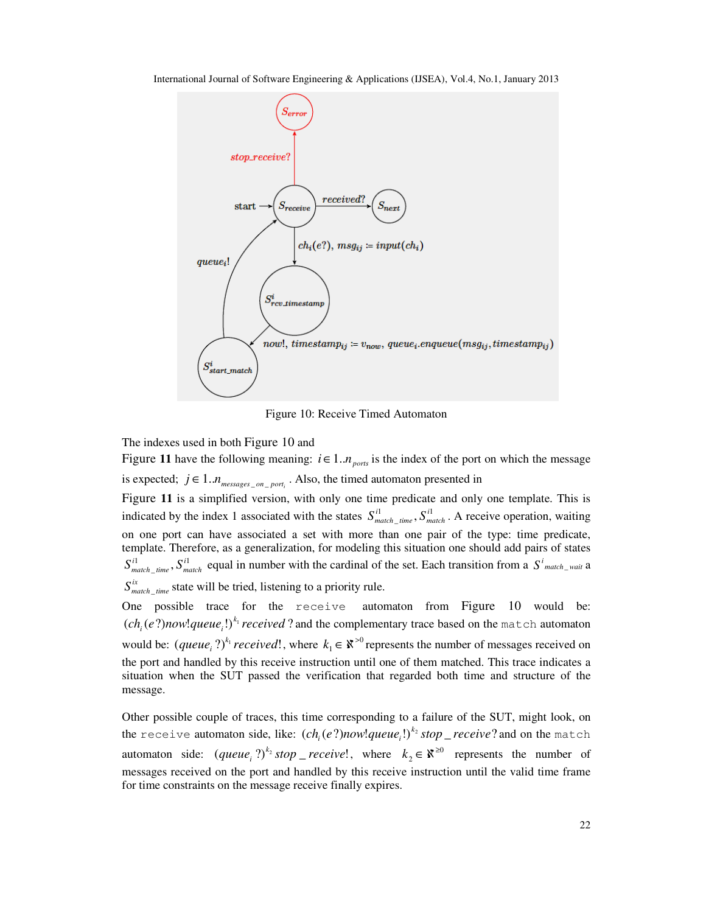International Journal of Software Engineering & Applications (IJSEA), Vol.4, No.1, January 2013



Figure 10: Receive Timed Automaton

The indexes used in both Figure 10 and

Figure 11 have the following meaning:  $i \in 1..n_{ports}$  is the index of the port on which the message is expected;  $j \in 1..n_{\text{messages\_on\_port}_i}$ . Also, the timed automaton presented in

Figure **11** is a simplified version, with only one time predicate and only one template. This is indicated by the index 1 associated with the states  $S_{match\_time}^{i}$ ,  $S_{match}^{i}$ . A receive operation, waiting on one port can have associated a set with more than one pair of the type: time predicate, template. Therefore, as a generalization, for modeling this situation one should add pairs of states  $S_{match\_time}^{i1}$ ,  $S_{match}^{i1}$  equal in number with the cardinal of the set. Each transition from a  $S_{match\_wait}^{i}$  a  $S_{match\_time}^{ix}$  state will be tried, listening to a priority rule.

One possible trace for the receive automaton from Figure 10 would be:  $(ch<sub>i</sub>(e?) now! queue<sub>i</sub>!)<sup>k<sub>1</sub></sup> received ?$  and the complementary trace based on the match automaton would be:  $(\text{queue}_i^2)^{k_1} \text{received}!$ , where  $k_1 \in \aleph^{>0}$  $k_1 \in \mathbb{R}^{>0}$  represents the number of messages received on the port and handled by this receive instruction until one of them matched. This trace indicates a situation when the SUT passed the verification that regarded both time and structure of the message.

Other possible couple of traces, this time corresponding to a failure of the SUT, might look, on the receive automaton side, like:  $(ch_i(e?) now! queue_i!)^{k_2} stop\_receive?$  and on the match automaton side:  $(\text{queue}_i)^{k_2} \text{stop\_receive}!$ , where  $k_2 \in \aleph^{\geq 0}$  $k_2 \in \mathbb{R}^{\geq 0}$  represents the number of messages received on the port and handled by this receive instruction until the valid time frame for time constraints on the message receive finally expires.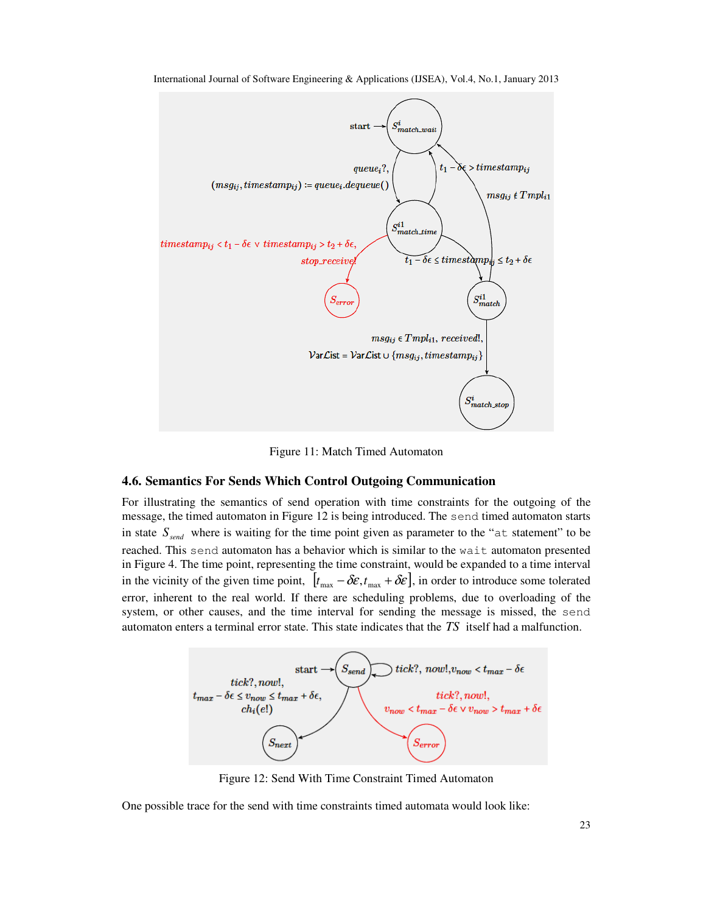

International Journal of Software Engineering & Applications (IJSEA), Vol.4, No.1, January 2013

Figure 11: Match Timed Automaton

# **4.6. Semantics For Sends Which Control Outgoing Communication**

For illustrating the semantics of send operation with time constraints for the outgoing of the message, the timed automaton in Figure 12 is being introduced. The send timed automaton starts in state  $S_{\text{send}}$  where is waiting for the time point given as parameter to the " $at$  statement" to be reached. This send automaton has a behavior which is similar to the wait automaton presented in Figure 4. The time point, representing the time constraint, would be expanded to a time interval in the vicinity of the given time point,  $[t_{\text{max}} - \delta \varepsilon, t_{\text{max}} + \delta \varepsilon]$ , in order to introduce some tolerated error, inherent to the real world. If there are scheduling problems, due to overloading of the system, or other causes, and the time interval for sending the message is missed, the send automaton enters a terminal error state. This state indicates that the *TS* itself had a malfunction.



Figure 12: Send With Time Constraint Timed Automaton

One possible trace for the send with time constraints timed automata would look like: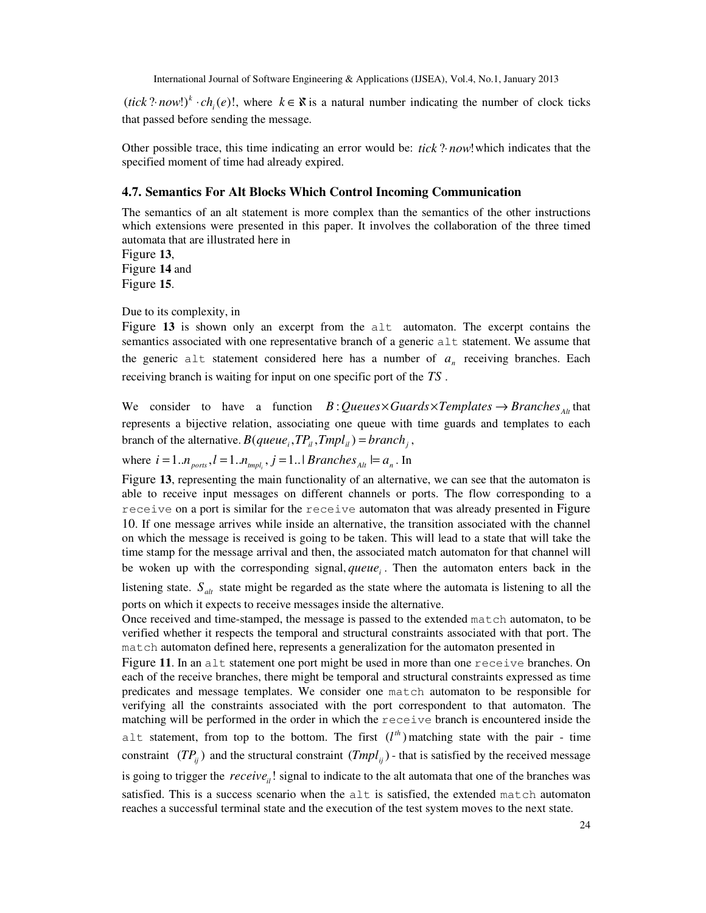$(ick$  ? *now*!)<sup>k</sup>  $ch_i(e)$ !, where  $k \in \mathbb{X}$  is a natural number indicating the number of clock ticks that passed before sending the message.

Other possible trace, this time indicating an error would be: *tick* ?⋅ *now*!which indicates that the specified moment of time had already expired.

## **4.7. Semantics For Alt Blocks Which Control Incoming Communication**

The semantics of an alt statement is more complex than the semantics of the other instructions which extensions were presented in this paper. It involves the collaboration of the three timed automata that are illustrated here in

Figure **13**, Figure **14** and Figure **15**.

Due to its complexity, in

Figure **13** is shown only an excerpt from the alt automaton. The excerpt contains the semantics associated with one representative branch of a generic  $a \perp t$  statement. We assume that the generic alt statement considered here has a number of  $a_n$  receiving branches. Each receiving branch is waiting for input on one specific port of the *TS* .

We consider to have a function *B* : *Queues*×*Guards*×*Templates*  $\rightarrow$  *Branches*<sub>*Alt*</sub> that represents a bijective relation, associating one queue with time guards and templates to each branch of the alternative.  $B(queue_i, TP_i, Tmpl_i) = branch_i$ ,

where  $i = 1..n_{\text{ports}}$ ,  $l = 1..n_{\text{impl}}$ ,  $j = 1..1$  *Branches*<sub>Alt</sub>  $l = a_n$ . In

Figure **13**, representing the main functionality of an alternative, we can see that the automaton is able to receive input messages on different channels or ports. The flow corresponding to a receive on a port is similar for the receive automaton that was already presented in Figure 10. If one message arrives while inside an alternative, the transition associated with the channel on which the message is received is going to be taken. This will lead to a state that will take the time stamp for the message arrival and then, the associated match automaton for that channel will be woken up with the corresponding signal, *queue* . Then the automaton enters back in the

listening state.  $S_{\text{alt}}$  state might be regarded as the state where the automata is listening to all the ports on which it expects to receive messages inside the alternative.

Once received and time-stamped, the message is passed to the extended match automaton, to be verified whether it respects the temporal and structural constraints associated with that port. The match automaton defined here, represents a generalization for the automaton presented in

Figure **11**. In an alt statement one port might be used in more than one receive branches. On each of the receive branches, there might be temporal and structural constraints expressed as time predicates and message templates. We consider one match automaton to be responsible for verifying all the constraints associated with the port correspondent to that automaton. The matching will be performed in the order in which the receive branch is encountered inside the alt statement, from top to the bottom. The first  $(l<sup>th</sup>)$  matching state with the pair - time constraint  $(TP_{ii})$  and the structural constraint  $(Tmpl_{ii})$  - that is satisfied by the received message is going to trigger the *receive*<sub>ii</sub>! signal to indicate to the alt automata that one of the branches was satisfied. This is a success scenario when the alt is satisfied, the extended match automaton reaches a successful terminal state and the execution of the test system moves to the next state.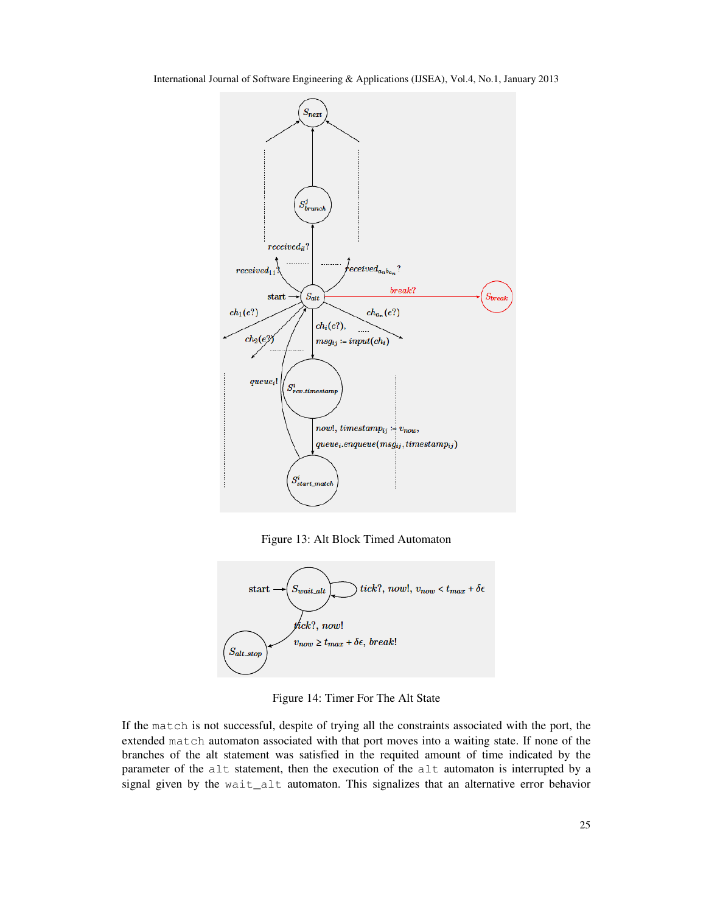

Figure 13: Alt Block Timed Automaton



Figure 14: Timer For The Alt State

If the match is not successful, despite of trying all the constraints associated with the port, the extended match automaton associated with that port moves into a waiting state. If none of the branches of the alt statement was satisfied in the requited amount of time indicated by the parameter of the alt statement, then the execution of the alt automaton is interrupted by a signal given by the wait\_alt automaton. This signalizes that an alternative error behavior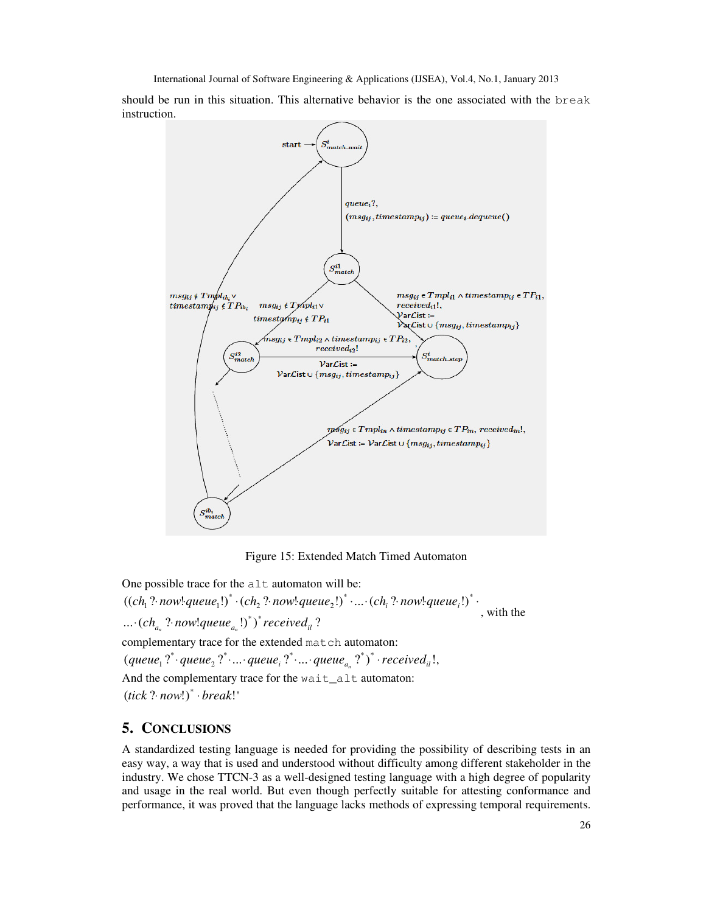should be run in this situation. This alternative behavior is the one associated with the break instruction.



Figure 15: Extended Match Timed Automaton

One possible trace for the  $alt$  automaton will be: ...  $\cdot$  (ch<sub>an</sub> ? now!queue<sub>an</sub>!)<sup>\*</sup>)<sup>\*</sup> received<sub>il</sub>?  $((ch_1? \cdot now! queue_1!)^* \cdot (ch_2? \cdot now! queue_2!)^* \cdot ... \cdot (ch_i? \cdot now! queue_i!)^* \cdot$ , with the complementary trace for the extended match automaton:  $( queue_1 ?^* \cdot queue_2 ?^* \cdot ... \cdot queue_i ?^* \cdot ... \cdot queue_{a_n} ?^*)^* \cdot received_{il}.$ And the complementary trace for the wait\_alt automaton:  $(ick$  ?  $now!)^* \cdot break!$ 

# **5. CONCLUSIONS**

A standardized testing language is needed for providing the possibility of describing tests in an easy way, a way that is used and understood without difficulty among different stakeholder in the industry. We chose TTCN-3 as a well-designed testing language with a high degree of popularity and usage in the real world. But even though perfectly suitable for attesting conformance and performance, it was proved that the language lacks methods of expressing temporal requirements.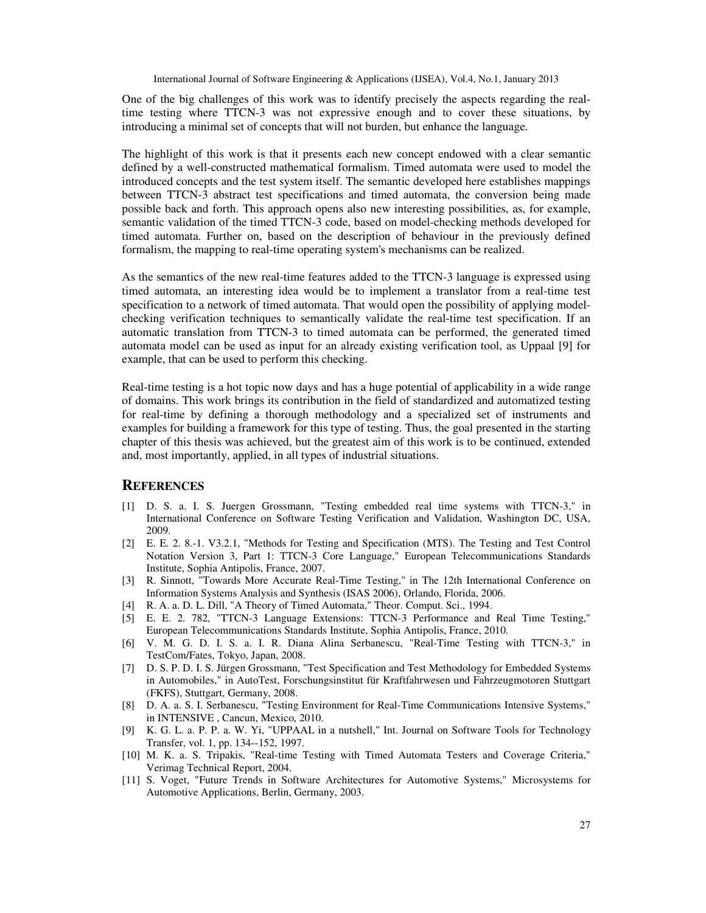One of the big challenges of this work was to identify precisely the aspects regarding the realtime testing where TTCN-3 was not expressive enough and to cover these situations, by introducing a minimal set of concepts that will not burden, but enhance the language.

The highlight of this work is that it presents each new concept endowed with a clear semantic defined by a well-constructed mathematical formalism. Timed automata were used to model the introduced concepts and the test system itself. The semantic developed here establishes mappings between TTCN-3 abstract test specifications and timed automata, the conversion being made possible back and forth. This approach opens also new interesting possibilities, as, for example, semantic validation of the timed TTCN-3 code, based on model-checking methods developed for timed automata. Further on, based on the description of behaviour in the previously defined formalism, the mapping to real-time operating system's mechanisms can be realized.

As the semantics of the new real-time features added to the TTCN-3 language is expressed using timed automata, an interesting idea would be to implement a translator from a real-time test specification to a network of timed automata. That would open the possibility of applying modelchecking verification techniques to semantically validate the real-time test specification. If an automatic translation from TTCN-3 to timed automata can be performed, the generated timed automata model can be used as input for an already existing verification tool, as Uppaal [9] for example, that can be used to perform this checking.

Real-time testing is a hot topic now days and has a huge potential of applicability in a wide range of domains. This work brings its contribution in the field of standardized and automatized testing for real-time by defining a thorough methodology and a specialized set of instruments and examples for building a framework for this type of testing. Thus, the goal presented in the starting chapter of this thesis was achieved, but the greatest aim of this work is to be continued, extended and, most importantly, applied, in all types of industrial situations.

# **REFERENCES**

- [1] D. S. a. I. S. Juergen Grossmann, "Testing embedded real time systems with TTCN-3," in International Conference on Software Testing Verification and Validation, Washington DC, USA, 2009.
- [2] E. E. 2. 8.-1. V3.2.1, "Methods for Testing and Specification (MTS). The Testing and Test Control Notation Version 3, Part 1: TTCN-3 Core Language," European Telecommunications Standards Institute, Sophia Antipolis, France, 2007.
- [3] R. Sinnott, "Towards More Accurate Real-Time Testing," in The 12th International Conference on Information Systems Analysis and Synthesis (ISAS 2006), Orlando, Florida, 2006.
- [4] R. A. a. D. L. Dill, "A Theory of Timed Automata," Theor. Comput. Sci., 1994.
- [5] E. E. 2. 782, "TTCN-3 Language Extensions: TTCN-3 Performance and Real Time Testing," European Telecommunications Standards Institute, Sophia Antipolis, France, 2010.
- [6] V. M. G. D. I. S. a. I. R. Diana Alina Serbanescu, "Real-Time Testing with TTCN-3," in TestCom/Fates, Tokyo, Japan, 2008.
- [7] D. S. P. D. I. S. Jürgen Grossmann, "Test Specification and Test Methodology for Embedded Systems in Automobiles," in AutoTest, Forschungsinstitut für Kraftfahrwesen und Fahrzeugmotoren Stuttgart (FKFS), Stuttgart, Germany, 2008.
- [8] D. A. a. S. I. Serbanescu, "Testing Environment for Real-Time Communications Intensive Systems," in INTENSIVE , Cancun, Mexico, 2010.
- [9] K. G. L. a. P. P. a. W. Yi, "UPPAAL in a nutshell," Int. Journal on Software Tools for Technology Transfer, vol. 1, pp. 134--152, 1997.
- [10] M. K. a. S. Tripakis, "Real-time Testing with Timed Automata Testers and Coverage Criteria," Verimag Technical Report, 2004.
- [11] S. Voget, "Future Trends in Software Architectures for Automotive Systems," Microsystems for Automotive Applications, Berlin, Germany, 2003.